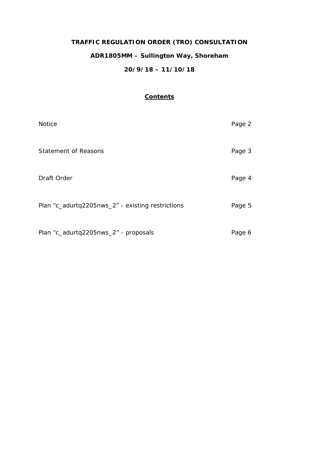# **TRAFFIC REGULATION ORDER (TRO) CONSULTATION ADR1805MM – Sullington Way, Shoreham 20/9/18 – 11/10/18**

## **Contents**

| <b>Notice</b>                                    | Page 2 |
|--------------------------------------------------|--------|
| <b>Statement of Reasons</b>                      | Page 3 |
| Draft Order                                      | Page 4 |
| Plan "c_adurtq2205nws_2" - existing restrictions | Page 5 |
| Plan "c_adurtq2205nws_2" - proposals             | Page 6 |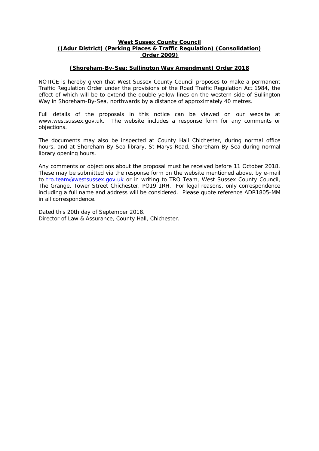## **West Sussex County Council ((Adur District) (Parking Places & Traffic Regulation) (Consolidation) Order 2009)**

## **(Shoreham-By-Sea: Sullington Way Amendment) Order 2018**

NOTICE is hereby given that West Sussex County Council proposes to make a permanent Traffic Regulation Order under the provisions of the Road Traffic Regulation Act 1984, the effect of which will be to extend the double yellow lines on the western side of Sullington Way in Shoreham-By-Sea, northwards by a distance of approximately 40 metres.

Full details of the proposals in this notice can be viewed on our website at www.westsussex.gov.uk. The website includes a response form for any comments or objections.

The documents may also be inspected at County Hall Chichester, during normal office hours, and at Shoreham-By-Sea library, St Marys Road, Shoreham-By-Sea during normal library opening hours.

Any comments or objections about the proposal must be received before 11 October 2018. These may be submitted via the response form on the website mentioned above, by e-mail to [tro.team@westsussex.gov.uk](mailto:tro.team@westsussex.gov.uk) or in writing to TRO Team, West Sussex County Council, The Grange, Tower Street Chichester, PO19 1RH. For legal reasons, only correspondence including a full name and address will be considered. Please quote reference ADR1805-MM in all correspondence.

Dated this 20th day of September 2018. Director of Law & Assurance, County Hall, Chichester.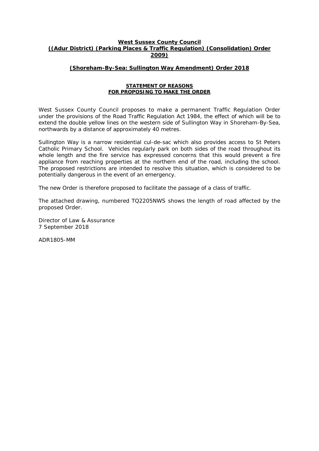## **West Sussex County Council ((Adur District) (Parking Places & Traffic Regulation) (Consolidation) Order 2009)**

## **(Shoreham-By-Sea: Sullington Way Amendment) Order 2018**

#### **STATEMENT OF REASONS FOR PROPOSING TO MAKE THE ORDER**

West Sussex County Council proposes to make a permanent Traffic Regulation Order under the provisions of the Road Traffic Regulation Act 1984, the effect of which will be to extend the double yellow lines on the western side of Sullington Way in Shoreham-By-Sea, northwards by a distance of approximately 40 metres.

Sullington Way is a narrow residential cul-de-sac which also provides access to St Peters Catholic Primary School. Vehicles regularly park on both sides of the road throughout its whole length and the fire service has expressed concerns that this would prevent a fire appliance from reaching properties at the northern end of the road, including the school. The proposed restrictions are intended to resolve this situation, which is considered to be potentially dangerous in the event of an emergency.

The new Order is therefore proposed to facilitate the passage of a class of traffic.

The attached drawing, numbered TQ2205NWS shows the length of road affected by the proposed Order.

Director of Law & Assurance 7 September 2018

ADR1805-MM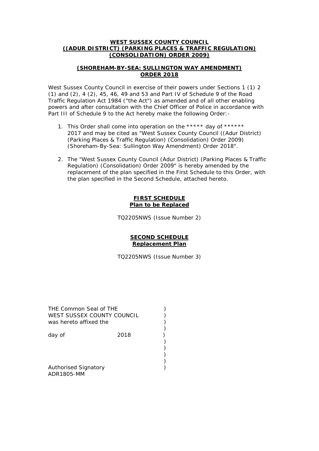## **WEST SUSSEX COUNTY COUNCIL ((ADUR DISTRICT) (PARKING PLACES & TRAFFIC REGULATION) (CONSOLIDATION) ORDER 2009)**

## **(SHOREHAM-BY-SEA: SULLINGTON WAY AMENDMENT) ORDER 2018**

West Sussex County Council in exercise of their powers under Sections 1 (1) 2 (1) and (2), 4 (2), 45, 46, 49 and 53 and Part IV of Schedule 9 of the Road Traffic Regulation Act 1984 ("the Act") as amended and of all other enabling powers and after consultation with the Chief Officer of Police in accordance with Part III of Schedule 9 to the Act hereby make the following Order: -

- 1. This Order shall come into operation on the \*\*\*\*\* day of \*\*\*\*\*\* 2017 and may be cited as "West Sussex County Council ((Adur District) (Parking Places & Traffic Regulation) (Consolidation) Order 2009) (Shoreham-By-Sea: Sullington Way Amendment) Order 2018".
- 2. The "West Sussex County Council (Adur District) (Parking Places & Traffic Regulation) (Consolidation) Order 2009" is hereby amended by the replacement of the plan specified in the First Schedule to this Order, with the plan specified in the Second Schedule, attached hereto.

### **FIRST SCHEDULE Plan to be Replaced**

TQ2205NWS (Issue Number 2)

## **SECOND SCHEDULE Replacement Plan**

TQ2205NWS (Issue Number 3)

| THE Common Seal of THE<br>WEST SUSSEX COUNTY COUNCIL<br>was hereto affixed the |      |  |
|--------------------------------------------------------------------------------|------|--|
| day of                                                                         | 2018 |  |
|                                                                                |      |  |
| <b>Authorised Signatory</b>                                                    |      |  |

ADR1805-MM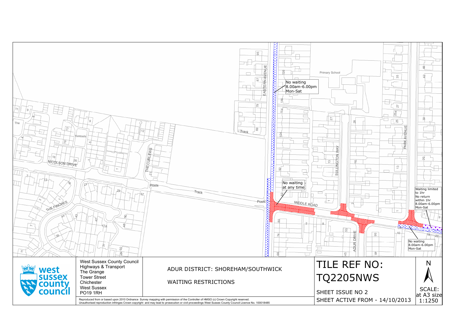